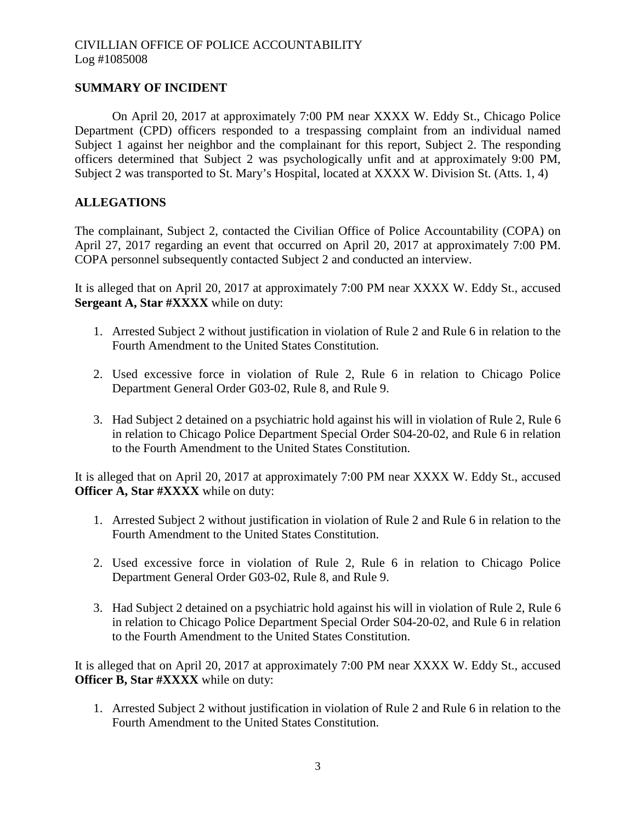## **SUMMARY OF INCIDENT**

On April 20, 2017 at approximately 7:00 PM near XXXX W. Eddy St., Chicago Police Department (CPD) officers responded to a trespassing complaint from an individual named Subject 1 against her neighbor and the complainant for this report, Subject 2. The responding officers determined that Subject 2 was psychologically unfit and at approximately 9:00 PM, Subject 2 was transported to St. Mary's Hospital, located at XXXX W. Division St. (Atts. 1, 4)

## **ALLEGATIONS**

The complainant, Subject 2, contacted the Civilian Office of Police Accountability (COPA) on April 27, 2017 regarding an event that occurred on April 20, 2017 at approximately 7:00 PM. COPA personnel subsequently contacted Subject 2 and conducted an interview.

It is alleged that on April 20, 2017 at approximately 7:00 PM near XXXX W. Eddy St., accused **Sergeant A, Star #XXXX** while on duty:

- 1. Arrested Subject 2 without justification in violation of Rule 2 and Rule 6 in relation to the Fourth Amendment to the United States Constitution.
- 2. Used excessive force in violation of Rule 2, Rule 6 in relation to Chicago Police Department General Order G03-02, Rule 8, and Rule 9.
- 3. Had Subject 2 detained on a psychiatric hold against his will in violation of Rule 2, Rule 6 in relation to Chicago Police Department Special Order S04-20-02, and Rule 6 in relation to the Fourth Amendment to the United States Constitution.

It is alleged that on April 20, 2017 at approximately 7:00 PM near XXXX W. Eddy St., accused **Officer A, Star #XXXX** while on duty:

- 1. Arrested Subject 2 without justification in violation of Rule 2 and Rule 6 in relation to the Fourth Amendment to the United States Constitution.
- 2. Used excessive force in violation of Rule 2, Rule 6 in relation to Chicago Police Department General Order G03-02, Rule 8, and Rule 9.
- 3. Had Subject 2 detained on a psychiatric hold against his will in violation of Rule 2, Rule 6 in relation to Chicago Police Department Special Order S04-20-02, and Rule 6 in relation to the Fourth Amendment to the United States Constitution.

It is alleged that on April 20, 2017 at approximately 7:00 PM near XXXX W. Eddy St., accused **Officer B, Star #XXXX** while on duty:

1. Arrested Subject 2 without justification in violation of Rule 2 and Rule 6 in relation to the Fourth Amendment to the United States Constitution.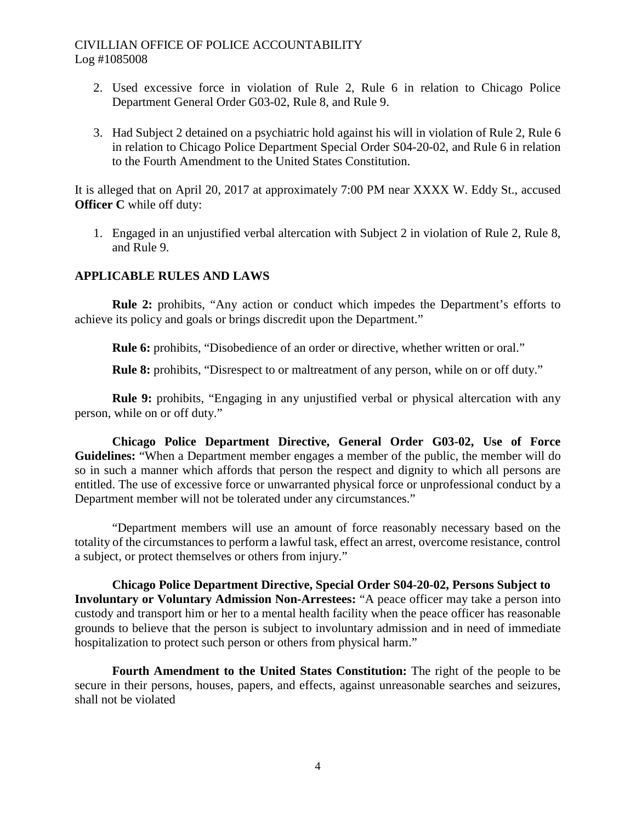- 2. Used excessive force in violation of Rule 2, Rule 6 in relation to Chicago Police Department General Order G03-02, Rule 8, and Rule 9.
- 3. Had Subject 2 detained on a psychiatric hold against his will in violation of Rule 2, Rule 6 in relation to Chicago Police Department Special Order S04-20-02, and Rule 6 in relation to the Fourth Amendment to the United States Constitution.

It is alleged that on April 20, 2017 at approximately 7:00 PM near XXXX W. Eddy St., accused **Officer C** while off duty:

1. Engaged in an unjustified verbal altercation with Subject 2 in violation of Rule 2, Rule 8, and Rule 9.

### **APPLICABLE RULES AND LAWS**

**Rule 2:** prohibits, "Any action or conduct which impedes the Department's efforts to achieve its policy and goals or brings discredit upon the Department."

**Rule 6:** prohibits, "Disobedience of an order or directive, whether written or oral."

**Rule 8:** prohibits, "Disrespect to or maltreatment of any person, while on or off duty."

**Rule 9:** prohibits, "Engaging in any unjustified verbal or physical altercation with any person, while on or off duty."

**Chicago Police Department Directive, General Order G03-02, Use of Force Guidelines:** "When a Department member engages a member of the public, the member will do so in such a manner which affords that person the respect and dignity to which all persons are entitled. The use of excessive force or unwarranted physical force or unprofessional conduct by a Department member will not be tolerated under any circumstances."

"Department members will use an amount of force reasonably necessary based on the totality of the circumstances to perform a lawful task, effect an arrest, overcome resistance, control a subject, or protect themselves or others from injury."

**Chicago Police Department Directive, Special Order S04-20-02, Persons Subject to Involuntary or Voluntary Admission Non-Arrestees:** "A peace officer may take a person into custody and transport him or her to a mental health facility when the peace officer has reasonable grounds to believe that the person is subject to involuntary admission and in need of immediate hospitalization to protect such person or others from physical harm."

**Fourth Amendment to the United States Constitution:** The right of the people to be secure in their persons, houses, papers, and effects, against unreasonable searches and seizures, shall not be violated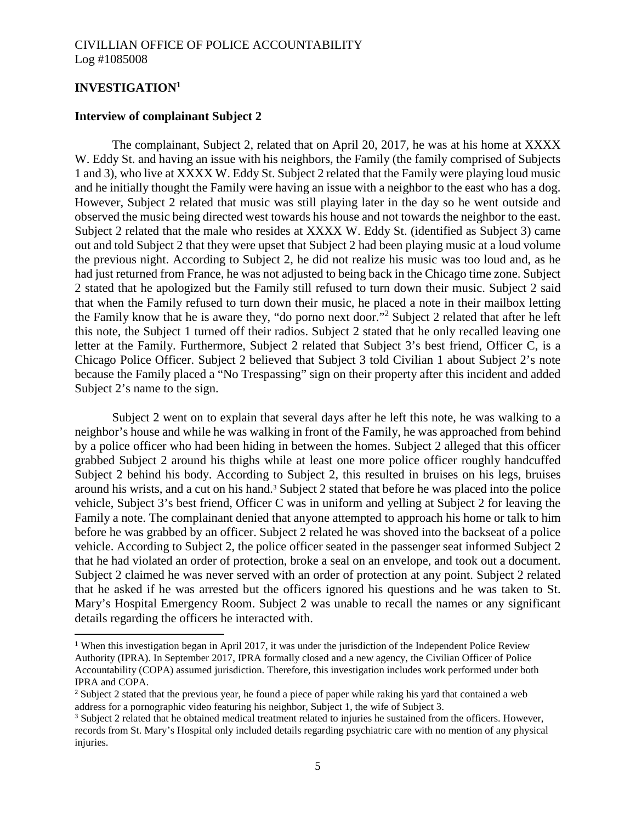## **INVESTIGATION[1](#page-2-0)**

#### **Interview of complainant Subject 2**

The complainant, Subject 2, related that on April 20, 2017, he was at his home at XXXX W. Eddy St. and having an issue with his neighbors, the Family (the family comprised of Subjects 1 and 3), who live at XXXX W. Eddy St. Subject 2 related that the Family were playing loud music and he initially thought the Family were having an issue with a neighbor to the east who has a dog. However, Subject 2 related that music was still playing later in the day so he went outside and observed the music being directed west towards his house and not towards the neighbor to the east. Subject 2 related that the male who resides at XXXX W. Eddy St. (identified as Subject 3) came out and told Subject 2 that they were upset that Subject 2 had been playing music at a loud volume the previous night. According to Subject 2, he did not realize his music was too loud and, as he had just returned from France, he was not adjusted to being back in the Chicago time zone. Subject 2 stated that he apologized but the Family still refused to turn down their music. Subject 2 said that when the Family refused to turn down their music, he placed a note in their mailbox letting the Family know that he is aware they, "do porno next door."[2](#page-2-1) Subject 2 related that after he left this note, the Subject 1 turned off their radios. Subject 2 stated that he only recalled leaving one letter at the Family. Furthermore, Subject 2 related that Subject 3's best friend, Officer C, is a Chicago Police Officer. Subject 2 believed that Subject 3 told Civilian 1 about Subject 2's note because the Family placed a "No Trespassing" sign on their property after this incident and added Subject 2's name to the sign.

Subject 2 went on to explain that several days after he left this note, he was walking to a neighbor's house and while he was walking in front of the Family, he was approached from behind by a police officer who had been hiding in between the homes. Subject 2 alleged that this officer grabbed Subject 2 around his thighs while at least one more police officer roughly handcuffed Subject 2 behind his body. According to Subject 2, this resulted in bruises on his legs, bruises around his wrists, and a cut on hishand[.](#page-2-2)<sup>3</sup> Subject 2 stated that before he was placed into the police vehicle, Subject 3's best friend, Officer C was in uniform and yelling at Subject 2 for leaving the Family a note. The complainant denied that anyone attempted to approach his home or talk to him before he was grabbed by an officer. Subject 2 related he was shoved into the backseat of a police vehicle. According to Subject 2, the police officer seated in the passenger seat informed Subject 2 that he had violated an order of protection, broke a seal on an envelope, and took out a document. Subject 2 claimed he was never served with an order of protection at any point. Subject 2 related that he asked if he was arrested but the officers ignored his questions and he was taken to St. Mary's Hospital Emergency Room. Subject 2 was unable to recall the names or any significant details regarding the officers he interacted with.

<span id="page-2-0"></span><sup>&</sup>lt;sup>1</sup> When this investigation began in April 2017, it was under the jurisdiction of the Independent Police Review Authority (IPRA). In September 2017, IPRA formally closed and a new agency, the Civilian Officer of Police Accountability (COPA) assumed jurisdiction. Therefore, this investigation includes work performed under both IPRA and COPA.

<span id="page-2-1"></span><sup>&</sup>lt;sup>2</sup> Subject 2 stated that the previous year, he found a piece of paper while raking his yard that contained a web address for a pornographic video featuring his neighbor, Subject 1, the wife of Subject 3.

<span id="page-2-2"></span><sup>&</sup>lt;sup>3</sup> Subject 2 related that he obtained medical treatment related to injuries he sustained from the officers. However, records from St. Mary's Hospital only included details regarding psychiatric care with no mention of any physical injuries.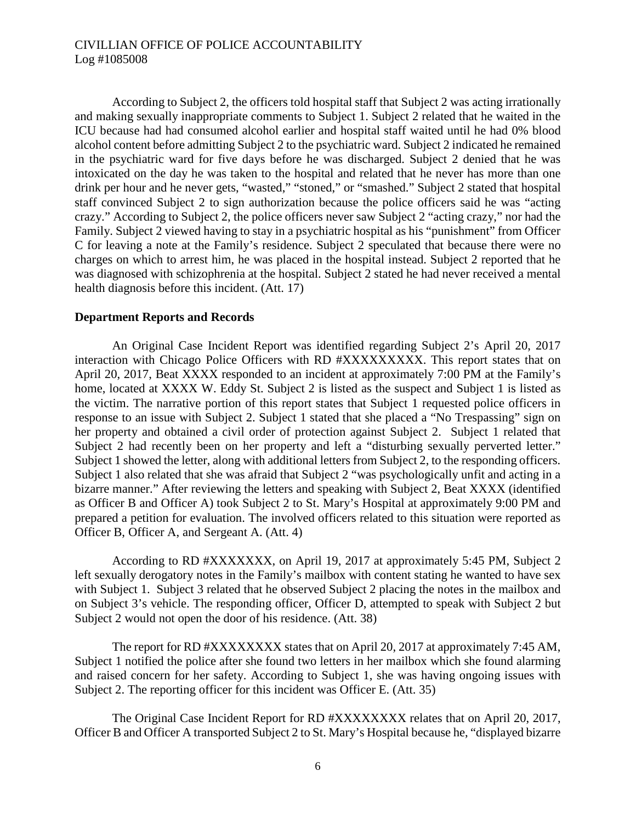According to Subject 2, the officers told hospital staff that Subject 2 was acting irrationally and making sexually inappropriate comments to Subject 1. Subject 2 related that he waited in the ICU because had had consumed alcohol earlier and hospital staff waited until he had 0% blood alcohol content before admitting Subject 2 to the psychiatric ward. Subject 2 indicated he remained in the psychiatric ward for five days before he was discharged. Subject 2 denied that he was intoxicated on the day he was taken to the hospital and related that he never has more than one drink per hour and he never gets, "wasted," "stoned," or "smashed." Subject 2 stated that hospital staff convinced Subject 2 to sign authorization because the police officers said he was "acting crazy." According to Subject 2, the police officers never saw Subject 2 "acting crazy," nor had the Family. Subject 2 viewed having to stay in a psychiatric hospital as his "punishment" from Officer C for leaving a note at the Family's residence. Subject 2 speculated that because there were no charges on which to arrest him, he was placed in the hospital instead. Subject 2 reported that he was diagnosed with schizophrenia at the hospital. Subject 2 stated he had never received a mental health diagnosis before this incident. (Att. 17)

#### **Department Reports and Records**

An Original Case Incident Report was identified regarding Subject 2's April 20, 2017 interaction with Chicago Police Officers with RD #XXXXXXXXX. This report states that on April 20, 2017, Beat XXXX responded to an incident at approximately 7:00 PM at the Family's home, located at XXXX W. Eddy St. Subject 2 is listed as the suspect and Subject 1 is listed as the victim. The narrative portion of this report states that Subject 1 requested police officers in response to an issue with Subject 2. Subject 1 stated that she placed a "No Trespassing" sign on her property and obtained a civil order of protection against Subject 2. Subject 1 related that Subject 2 had recently been on her property and left a "disturbing sexually perverted letter." Subject 1 showed the letter, along with additional letters from Subject 2, to the responding officers. Subject 1 also related that she was afraid that Subject 2 "was psychologically unfit and acting in a bizarre manner." After reviewing the letters and speaking with Subject 2, Beat XXXX (identified as Officer B and Officer A) took Subject 2 to St. Mary's Hospital at approximately 9:00 PM and prepared a petition for evaluation. The involved officers related to this situation were reported as Officer B, Officer A, and Sergeant A. (Att. 4)

According to RD #XXXXXXX, on April 19, 2017 at approximately 5:45 PM, Subject 2 left sexually derogatory notes in the Family's mailbox with content stating he wanted to have sex with Subject 1. Subject 3 related that he observed Subject 2 placing the notes in the mailbox and on Subject 3's vehicle. The responding officer, Officer D, attempted to speak with Subject 2 but Subject 2 would not open the door of his residence. (Att. 38)

The report for RD #XXXXXXXX states that on April 20, 2017 at approximately 7:45 AM, Subject 1 notified the police after she found two letters in her mailbox which she found alarming and raised concern for her safety. According to Subject 1, she was having ongoing issues with Subject 2. The reporting officer for this incident was Officer E. (Att. 35)

The Original Case Incident Report for RD #XXXXXXXX relates that on April 20, 2017, Officer B and Officer A transported Subject 2 to St. Mary's Hospital because he, "displayed bizarre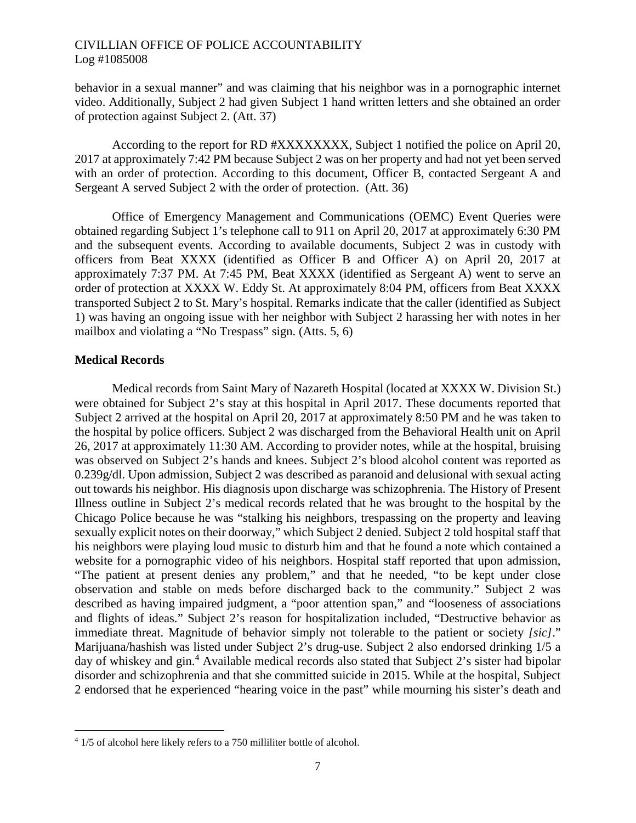behavior in a sexual manner" and was claiming that his neighbor was in a pornographic internet video. Additionally, Subject 2 had given Subject 1 hand written letters and she obtained an order of protection against Subject 2. (Att. 37)

According to the report for RD #XXXXXXXX, Subject 1 notified the police on April 20, 2017 at approximately 7:42 PM because Subject 2 was on her property and had not yet been served with an order of protection. According to this document, Officer B, contacted Sergeant A and Sergeant A served Subject 2 with the order of protection. (Att. 36)

Office of Emergency Management and Communications (OEMC) Event Queries were obtained regarding Subject 1's telephone call to 911 on April 20, 2017 at approximately 6:30 PM and the subsequent events. According to available documents, Subject 2 was in custody with officers from Beat XXXX (identified as Officer B and Officer A) on April 20, 2017 at approximately 7:37 PM. At 7:45 PM, Beat XXXX (identified as Sergeant A) went to serve an order of protection at XXXX W. Eddy St. At approximately 8:04 PM, officers from Beat XXXX transported Subject 2 to St. Mary's hospital. Remarks indicate that the caller (identified as Subject 1) was having an ongoing issue with her neighbor with Subject 2 harassing her with notes in her mailbox and violating a "No Trespass" sign. (Atts. 5, 6)

### **Medical Records**

Medical records from Saint Mary of Nazareth Hospital (located at XXXX W. Division St.) were obtained for Subject 2's stay at this hospital in April 2017. These documents reported that Subject 2 arrived at the hospital on April 20, 2017 at approximately 8:50 PM and he was taken to the hospital by police officers. Subject 2 was discharged from the Behavioral Health unit on April 26, 2017 at approximately 11:30 AM. According to provider notes, while at the hospital, bruising was observed on Subject 2's hands and knees. Subject 2's blood alcohol content was reported as 0.239g/dl. Upon admission, Subject 2 was described as paranoid and delusional with sexual acting out towards his neighbor. His diagnosis upon discharge was schizophrenia. The History of Present Illness outline in Subject 2's medical records related that he was brought to the hospital by the Chicago Police because he was "stalking his neighbors, trespassing on the property and leaving sexually explicit notes on their doorway," which Subject 2 denied. Subject 2 told hospital staff that his neighbors were playing loud music to disturb him and that he found a note which contained a website for a pornographic video of his neighbors. Hospital staff reported that upon admission, "The patient at present denies any problem," and that he needed, "to be kept under close observation and stable on meds before discharged back to the community." Subject 2 was described as having impaired judgment, a "poor attention span," and "looseness of associations and flights of ideas." Subject 2's reason for hospitalization included, "Destructive behavior as immediate threat. Magnitude of behavior simply not tolerable to the patient or society *[sic]*." Marijuana/hashish was listed under Subject 2's drug-use. Subject 2 also endorsed drinking 1/5 a dayof whiskey and gin.<sup>4</sup> Available medical records also stated that Subject 2's sister had bipolar disorder and schizophrenia and that she committed suicide in 2015. While at the hospital, Subject 2 endorsed that he experienced "hearing voice in the past" while mourning his sister's death and

<span id="page-4-0"></span><sup>&</sup>lt;sup>4</sup> 1/5 of alcohol here likely refers to a 750 milliliter bottle of alcohol.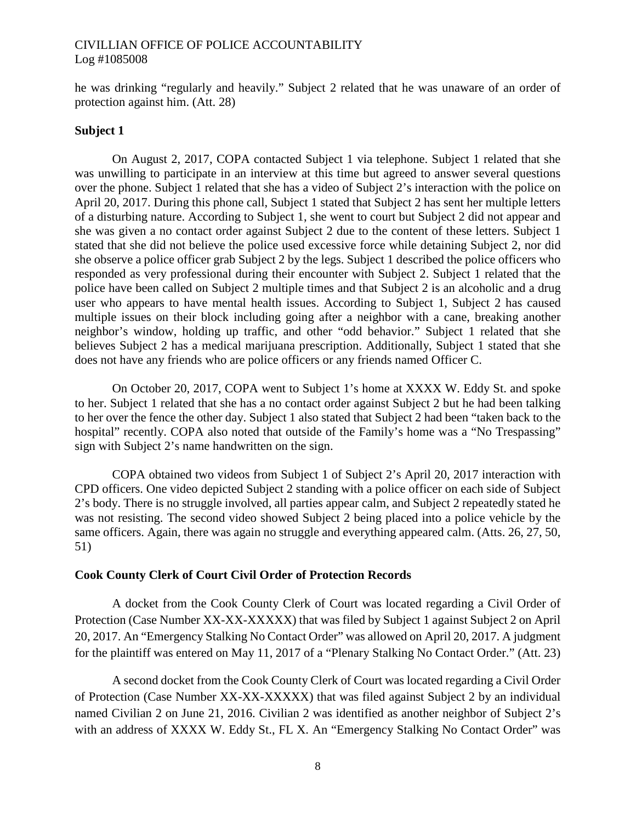he was drinking "regularly and heavily." Subject 2 related that he was unaware of an order of protection against him. (Att. 28)

#### **Subject 1**

On August 2, 2017, COPA contacted Subject 1 via telephone. Subject 1 related that she was unwilling to participate in an interview at this time but agreed to answer several questions over the phone. Subject 1 related that she has a video of Subject 2's interaction with the police on April 20, 2017. During this phone call, Subject 1 stated that Subject 2 has sent her multiple letters of a disturbing nature. According to Subject 1, she went to court but Subject 2 did not appear and she was given a no contact order against Subject 2 due to the content of these letters. Subject 1 stated that she did not believe the police used excessive force while detaining Subject 2, nor did she observe a police officer grab Subject 2 by the legs. Subject 1 described the police officers who responded as very professional during their encounter with Subject 2. Subject 1 related that the police have been called on Subject 2 multiple times and that Subject 2 is an alcoholic and a drug user who appears to have mental health issues. According to Subject 1, Subject 2 has caused multiple issues on their block including going after a neighbor with a cane, breaking another neighbor's window, holding up traffic, and other "odd behavior." Subject 1 related that she believes Subject 2 has a medical marijuana prescription. Additionally, Subject 1 stated that she does not have any friends who are police officers or any friends named Officer C.

On October 20, 2017, COPA went to Subject 1's home at XXXX W. Eddy St. and spoke to her. Subject 1 related that she has a no contact order against Subject 2 but he had been talking to her over the fence the other day. Subject 1 also stated that Subject 2 had been "taken back to the hospital" recently. COPA also noted that outside of the Family's home was a "No Trespassing" sign with Subject 2's name handwritten on the sign.

COPA obtained two videos from Subject 1 of Subject 2's April 20, 2017 interaction with CPD officers. One video depicted Subject 2 standing with a police officer on each side of Subject 2's body. There is no struggle involved, all parties appear calm, and Subject 2 repeatedly stated he was not resisting. The second video showed Subject 2 being placed into a police vehicle by the same officers. Again, there was again no struggle and everything appeared calm. (Atts. 26, 27, 50, 51)

#### **Cook County Clerk of Court Civil Order of Protection Records**

A docket from the Cook County Clerk of Court was located regarding a Civil Order of Protection (Case Number XX-XX-XXXXX) that was filed by Subject 1 against Subject 2 on April 20, 2017. An "Emergency Stalking No Contact Order" was allowed on April 20, 2017. A judgment for the plaintiff was entered on May 11, 2017 of a "Plenary Stalking No Contact Order." (Att. 23)

A second docket from the Cook County Clerk of Court was located regarding a Civil Order of Protection (Case Number XX-XX-XXXXX) that was filed against Subject 2 by an individual named Civilian 2 on June 21, 2016. Civilian 2 was identified as another neighbor of Subject 2's with an address of XXXX W. Eddy St., FL X. An "Emergency Stalking No Contact Order" was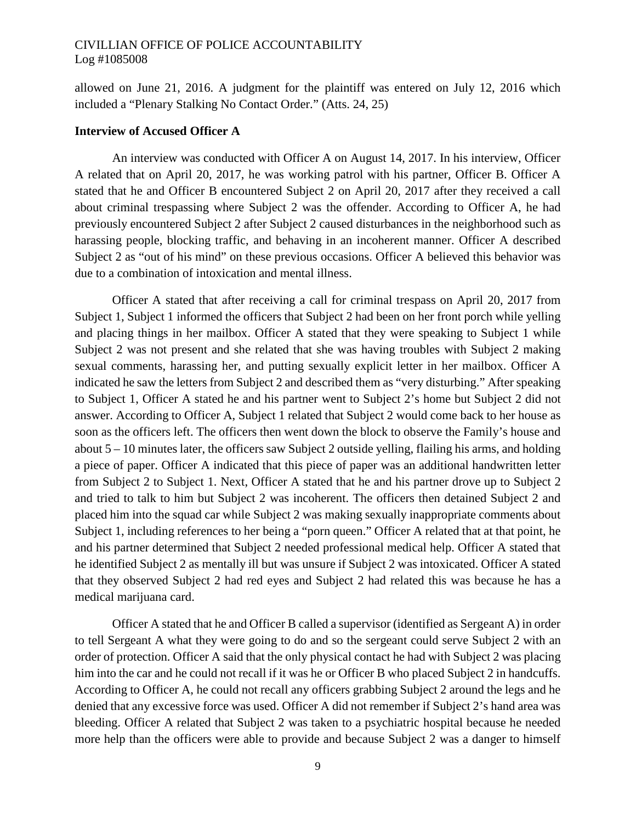allowed on June 21, 2016. A judgment for the plaintiff was entered on July 12, 2016 which included a "Plenary Stalking No Contact Order." (Atts. 24, 25)

#### **Interview of Accused Officer A**

An interview was conducted with Officer A on August 14, 2017. In his interview, Officer A related that on April 20, 2017, he was working patrol with his partner, Officer B. Officer A stated that he and Officer B encountered Subject 2 on April 20, 2017 after they received a call about criminal trespassing where Subject 2 was the offender. According to Officer A, he had previously encountered Subject 2 after Subject 2 caused disturbances in the neighborhood such as harassing people, blocking traffic, and behaving in an incoherent manner. Officer A described Subject 2 as "out of his mind" on these previous occasions. Officer A believed this behavior was due to a combination of intoxication and mental illness.

Officer A stated that after receiving a call for criminal trespass on April 20, 2017 from Subject 1, Subject 1 informed the officers that Subject 2 had been on her front porch while yelling and placing things in her mailbox. Officer A stated that they were speaking to Subject 1 while Subject 2 was not present and she related that she was having troubles with Subject 2 making sexual comments, harassing her, and putting sexually explicit letter in her mailbox. Officer A indicated he saw the letters from Subject 2 and described them as "very disturbing." After speaking to Subject 1, Officer A stated he and his partner went to Subject 2's home but Subject 2 did not answer. According to Officer A, Subject 1 related that Subject 2 would come back to her house as soon as the officers left. The officers then went down the block to observe the Family's house and about 5 – 10 minutes later, the officers saw Subject 2 outside yelling, flailing his arms, and holding a piece of paper. Officer A indicated that this piece of paper was an additional handwritten letter from Subject 2 to Subject 1. Next, Officer A stated that he and his partner drove up to Subject 2 and tried to talk to him but Subject 2 was incoherent. The officers then detained Subject 2 and placed him into the squad car while Subject 2 was making sexually inappropriate comments about Subject 1, including references to her being a "porn queen." Officer A related that at that point, he and his partner determined that Subject 2 needed professional medical help. Officer A stated that he identified Subject 2 as mentally ill but was unsure if Subject 2 was intoxicated. Officer A stated that they observed Subject 2 had red eyes and Subject 2 had related this was because he has a medical marijuana card.

Officer A stated that he and Officer B called a supervisor (identified as Sergeant A) in order to tell Sergeant A what they were going to do and so the sergeant could serve Subject 2 with an order of protection. Officer A said that the only physical contact he had with Subject 2 was placing him into the car and he could not recall if it was he or Officer B who placed Subject 2 in handcuffs. According to Officer A, he could not recall any officers grabbing Subject 2 around the legs and he denied that any excessive force was used. Officer A did not remember if Subject 2's hand area was bleeding. Officer A related that Subject 2 was taken to a psychiatric hospital because he needed more help than the officers were able to provide and because Subject 2 was a danger to himself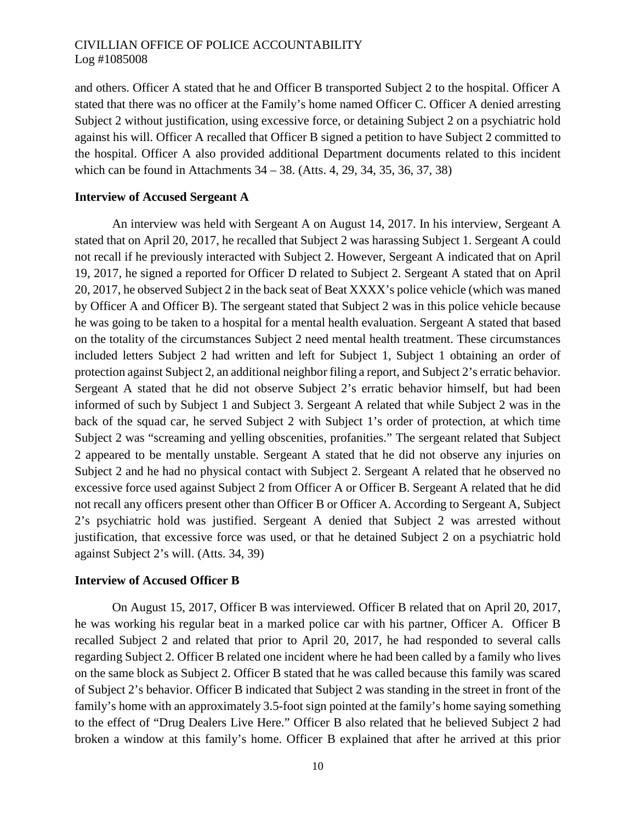and others. Officer A stated that he and Officer B transported Subject 2 to the hospital. Officer A stated that there was no officer at the Family's home named Officer C. Officer A denied arresting Subject 2 without justification, using excessive force, or detaining Subject 2 on a psychiatric hold against his will. Officer A recalled that Officer B signed a petition to have Subject 2 committed to the hospital. Officer A also provided additional Department documents related to this incident which can be found in Attachments 34 – 38. (Atts. 4, 29, 34, 35, 36, 37, 38)

#### **Interview of Accused Sergeant A**

An interview was held with Sergeant A on August 14, 2017. In his interview, Sergeant A stated that on April 20, 2017, he recalled that Subject 2 was harassing Subject 1. Sergeant A could not recall if he previously interacted with Subject 2. However, Sergeant A indicated that on April 19, 2017, he signed a reported for Officer D related to Subject 2. Sergeant A stated that on April 20, 2017, he observed Subject 2 in the back seat of Beat XXXX's police vehicle (which was maned by Officer A and Officer B). The sergeant stated that Subject 2 was in this police vehicle because he was going to be taken to a hospital for a mental health evaluation. Sergeant A stated that based on the totality of the circumstances Subject 2 need mental health treatment. These circumstances included letters Subject 2 had written and left for Subject 1, Subject 1 obtaining an order of protection against Subject 2, an additional neighbor filing a report, and Subject 2's erratic behavior. Sergeant A stated that he did not observe Subject 2's erratic behavior himself, but had been informed of such by Subject 1 and Subject 3. Sergeant A related that while Subject 2 was in the back of the squad car, he served Subject 2 with Subject 1's order of protection, at which time Subject 2 was "screaming and yelling obscenities, profanities." The sergeant related that Subject 2 appeared to be mentally unstable. Sergeant A stated that he did not observe any injuries on Subject 2 and he had no physical contact with Subject 2. Sergeant A related that he observed no excessive force used against Subject 2 from Officer A or Officer B. Sergeant A related that he did not recall any officers present other than Officer B or Officer A. According to Sergeant A, Subject 2's psychiatric hold was justified. Sergeant A denied that Subject 2 was arrested without justification, that excessive force was used, or that he detained Subject 2 on a psychiatric hold against Subject 2's will. (Atts. 34, 39)

### **Interview of Accused Officer B**

On August 15, 2017, Officer B was interviewed. Officer B related that on April 20, 2017, he was working his regular beat in a marked police car with his partner, Officer A. Officer B recalled Subject 2 and related that prior to April 20, 2017, he had responded to several calls regarding Subject 2. Officer B related one incident where he had been called by a family who lives on the same block as Subject 2. Officer B stated that he was called because this family was scared of Subject 2's behavior. Officer B indicated that Subject 2 was standing in the street in front of the family's home with an approximately 3.5-foot sign pointed at the family's home saying something to the effect of "Drug Dealers Live Here." Officer B also related that he believed Subject 2 had broken a window at this family's home. Officer B explained that after he arrived at this prior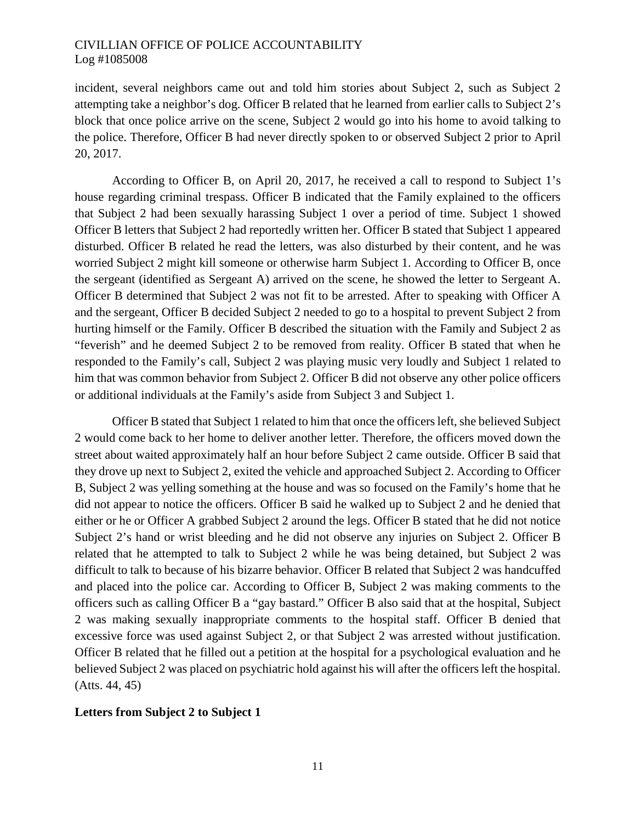incident, several neighbors came out and told him stories about Subject 2, such as Subject 2 attempting take a neighbor's dog. Officer B related that he learned from earlier calls to Subject 2's block that once police arrive on the scene, Subject 2 would go into his home to avoid talking to the police. Therefore, Officer B had never directly spoken to or observed Subject 2 prior to April 20, 2017.

According to Officer B, on April 20, 2017, he received a call to respond to Subject 1's house regarding criminal trespass. Officer B indicated that the Family explained to the officers that Subject 2 had been sexually harassing Subject 1 over a period of time. Subject 1 showed Officer B letters that Subject 2 had reportedly written her. Officer B stated that Subject 1 appeared disturbed. Officer B related he read the letters, was also disturbed by their content, and he was worried Subject 2 might kill someone or otherwise harm Subject 1. According to Officer B, once the sergeant (identified as Sergeant A) arrived on the scene, he showed the letter to Sergeant A. Officer B determined that Subject 2 was not fit to be arrested. After to speaking with Officer A and the sergeant, Officer B decided Subject 2 needed to go to a hospital to prevent Subject 2 from hurting himself or the Family. Officer B described the situation with the Family and Subject 2 as "feverish" and he deemed Subject 2 to be removed from reality. Officer B stated that when he responded to the Family's call, Subject 2 was playing music very loudly and Subject 1 related to him that was common behavior from Subject 2. Officer B did not observe any other police officers or additional individuals at the Family's aside from Subject 3 and Subject 1.

Officer B stated that Subject 1 related to him that once the officers left, she believed Subject 2 would come back to her home to deliver another letter. Therefore, the officers moved down the street about waited approximately half an hour before Subject 2 came outside. Officer B said that they drove up next to Subject 2, exited the vehicle and approached Subject 2. According to Officer B, Subject 2 was yelling something at the house and was so focused on the Family's home that he did not appear to notice the officers. Officer B said he walked up to Subject 2 and he denied that either or he or Officer A grabbed Subject 2 around the legs. Officer B stated that he did not notice Subject 2's hand or wrist bleeding and he did not observe any injuries on Subject 2. Officer B related that he attempted to talk to Subject 2 while he was being detained, but Subject 2 was difficult to talk to because of his bizarre behavior. Officer B related that Subject 2 was handcuffed and placed into the police car. According to Officer B, Subject 2 was making comments to the officers such as calling Officer B a "gay bastard." Officer B also said that at the hospital, Subject 2 was making sexually inappropriate comments to the hospital staff. Officer B denied that excessive force was used against Subject 2, or that Subject 2 was arrested without justification. Officer B related that he filled out a petition at the hospital for a psychological evaluation and he believed Subject 2 was placed on psychiatric hold against his will after the officers left the hospital. (Atts. 44, 45)

### **Letters from Subject 2 to Subject 1**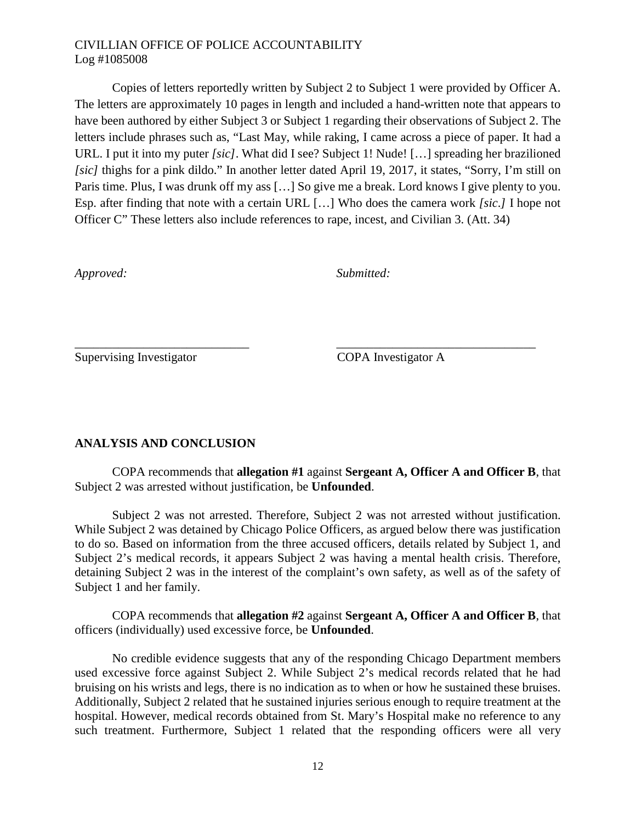Copies of letters reportedly written by Subject 2 to Subject 1 were provided by Officer A. The letters are approximately 10 pages in length and included a hand-written note that appears to have been authored by either Subject 3 or Subject 1 regarding their observations of Subject 2. The letters include phrases such as, "Last May, while raking, I came across a piece of paper. It had a URL. I put it into my puter *[sic]*. What did I see? Subject 1! Nude! [...] spreading her brazilioned *[sic]* thighs for a pink dildo." In another letter dated April 19, 2017, it states, "Sorry, I'm still on Paris time. Plus, I was drunk off my ass […] So give me a break. Lord knows I give plenty to you. Esp. after finding that note with a certain URL […] Who does the camera work *[sic*.*]* I hope not Officer C" These letters also include references to rape, incest, and Civilian 3. (Att. 34)

*Approved: Submitted:*

Supervising Investigator COPA Investigator A

# **ANALYSIS AND CONCLUSION**

COPA recommends that **allegation #1** against **Sergeant A, Officer A and Officer B**, that Subject 2 was arrested without justification, be **Unfounded**.

\_\_\_\_\_\_\_\_\_\_\_\_\_\_\_\_\_\_\_\_\_\_\_\_\_\_\_\_ \_\_\_\_\_\_\_\_\_\_\_\_\_\_\_\_\_\_\_\_\_\_\_\_\_\_\_\_\_\_\_\_

Subject 2 was not arrested. Therefore, Subject 2 was not arrested without justification. While Subject 2 was detained by Chicago Police Officers, as argued below there was justification to do so. Based on information from the three accused officers, details related by Subject 1, and Subject 2's medical records, it appears Subject 2 was having a mental health crisis. Therefore, detaining Subject 2 was in the interest of the complaint's own safety, as well as of the safety of Subject 1 and her family.

COPA recommends that **allegation #2** against **Sergeant A, Officer A and Officer B**, that officers (individually) used excessive force, be **Unfounded**.

No credible evidence suggests that any of the responding Chicago Department members used excessive force against Subject 2. While Subject 2's medical records related that he had bruising on his wrists and legs, there is no indication as to when or how he sustained these bruises. Additionally, Subject 2 related that he sustained injuries serious enough to require treatment at the hospital. However, medical records obtained from St. Mary's Hospital make no reference to any such treatment. Furthermore, Subject 1 related that the responding officers were all very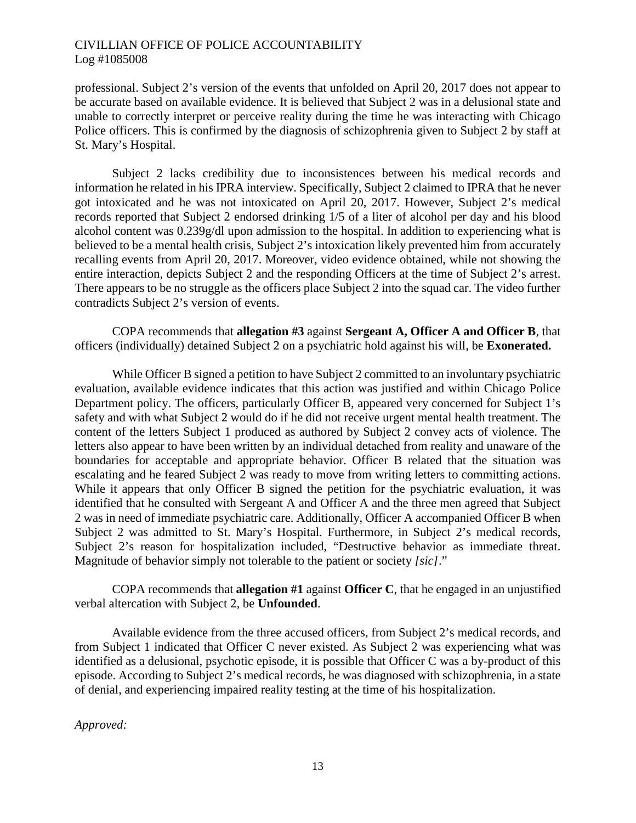professional. Subject 2's version of the events that unfolded on April 20, 2017 does not appear to be accurate based on available evidence. It is believed that Subject 2 was in a delusional state and unable to correctly interpret or perceive reality during the time he was interacting with Chicago Police officers. This is confirmed by the diagnosis of schizophrenia given to Subject 2 by staff at St. Mary's Hospital.

Subject 2 lacks credibility due to inconsistences between his medical records and information he related in his IPRA interview. Specifically, Subject 2 claimed to IPRA that he never got intoxicated and he was not intoxicated on April 20, 2017. However, Subject 2's medical records reported that Subject 2 endorsed drinking 1/5 of a liter of alcohol per day and his blood alcohol content was 0.239g/dl upon admission to the hospital. In addition to experiencing what is believed to be a mental health crisis, Subject 2's intoxication likely prevented him from accurately recalling events from April 20, 2017. Moreover, video evidence obtained, while not showing the entire interaction, depicts Subject 2 and the responding Officers at the time of Subject 2's arrest. There appears to be no struggle as the officers place Subject 2 into the squad car. The video further contradicts Subject 2's version of events.

COPA recommends that **allegation #3** against **Sergeant A, Officer A and Officer B**, that officers (individually) detained Subject 2 on a psychiatric hold against his will, be **Exonerated.**

While Officer B signed a petition to have Subject 2 committed to an involuntary psychiatric evaluation, available evidence indicates that this action was justified and within Chicago Police Department policy. The officers, particularly Officer B, appeared very concerned for Subject 1's safety and with what Subject 2 would do if he did not receive urgent mental health treatment. The content of the letters Subject 1 produced as authored by Subject 2 convey acts of violence. The letters also appear to have been written by an individual detached from reality and unaware of the boundaries for acceptable and appropriate behavior. Officer B related that the situation was escalating and he feared Subject 2 was ready to move from writing letters to committing actions. While it appears that only Officer B signed the petition for the psychiatric evaluation, it was identified that he consulted with Sergeant A and Officer A and the three men agreed that Subject 2 was in need of immediate psychiatric care. Additionally, Officer A accompanied Officer B when Subject 2 was admitted to St. Mary's Hospital. Furthermore, in Subject 2's medical records, Subject 2's reason for hospitalization included, "Destructive behavior as immediate threat. Magnitude of behavior simply not tolerable to the patient or society *[sic]*."

COPA recommends that **allegation #1** against **Officer C**, that he engaged in an unjustified verbal altercation with Subject 2, be **Unfounded**.

Available evidence from the three accused officers, from Subject 2's medical records, and from Subject 1 indicated that Officer C never existed. As Subject 2 was experiencing what was identified as a delusional, psychotic episode, it is possible that Officer C was a by-product of this episode. According to Subject 2's medical records, he was diagnosed with schizophrenia, in a state of denial, and experiencing impaired reality testing at the time of his hospitalization.

*Approved:*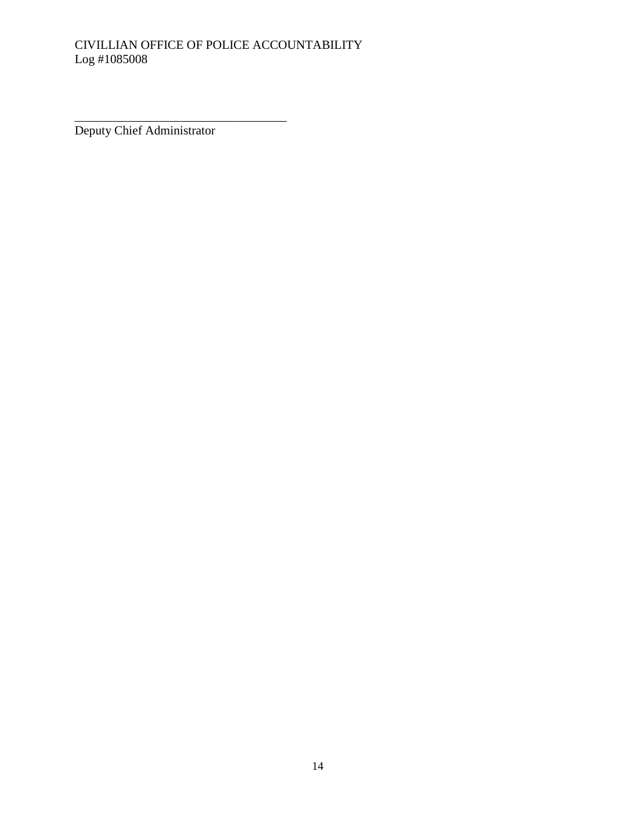Deputy Chief Administrator

\_\_\_\_\_\_\_\_\_\_\_\_\_\_\_\_\_\_\_\_\_\_\_\_\_\_\_\_\_\_\_\_\_\_